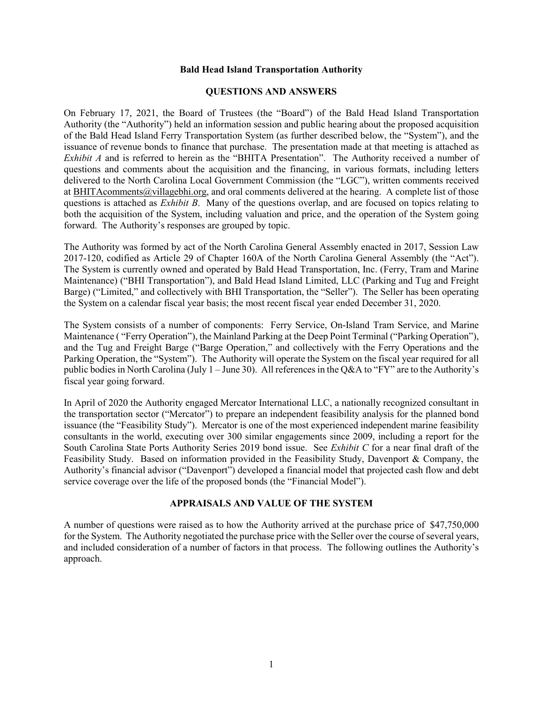### **Bald Head Island Transportation Authority**

### **QUESTIONS AND ANSWERS**

On February 17, 2021, the Board of Trustees (the "Board") of the Bald Head Island Transportation Authority (the "Authority") held an information session and public hearing about the proposed acquisition of the Bald Head Island Ferry Transportation System (as further described below, the "System"), and the issuance of revenue bonds to finance that purchase. The presentation made at that meeting is attached as *Exhibit A* and is referred to herein as the "BHITA Presentation". The Authority received a number of questions and comments about the acquisition and the financing, in various formats, including letters delivered to the North Carolina Local Government Commission (the "LGC"), written comments received a[t BHITAcomments@villagebhi.org,](mailto:BHITAcomments@villagebhi.org) and oral comments delivered at the hearing. A complete list of those questions is attached as *Exhibit B*. Many of the questions overlap, and are focused on topics relating to both the acquisition of the System, including valuation and price, and the operation of the System going forward. The Authority's responses are grouped by topic.

The Authority was formed by act of the North Carolina General Assembly enacted in 2017, Session Law 2017-120, codified as Article 29 of Chapter 160A of the North Carolina General Assembly (the "Act"). The System is currently owned and operated by Bald Head Transportation, Inc. (Ferry, Tram and Marine Maintenance) ("BHI Transportation"), and Bald Head Island Limited, LLC (Parking and Tug and Freight Barge) ("Limited," and collectively with BHI Transportation, the "Seller"). The Seller has been operating the System on a calendar fiscal year basis; the most recent fiscal year ended December 31, 2020.

The System consists of a number of components: Ferry Service, On-Island Tram Service, and Marine Maintenance ( "Ferry Operation"), the Mainland Parking at the Deep Point Terminal ("Parking Operation"), and the Tug and Freight Barge ("Barge Operation," and collectively with the Ferry Operations and the Parking Operation, the "System"). The Authority will operate the System on the fiscal year required for all public bodies in North Carolina (July 1 – June 30). All references in the Q&A to "FY" are to the Authority's fiscal year going forward.

In April of 2020 the Authority engaged Mercator International LLC, a nationally recognized consultant in the transportation sector ("Mercator") to prepare an independent feasibility analysis for the planned bond issuance (the "Feasibility Study"). Mercator is one of the most experienced independent marine feasibility consultants in the world, executing over 300 similar engagements since 2009, including a report for the South Carolina State Ports Authority Series 2019 bond issue. See *Exhibit C* for a near final draft of the Feasibility Study. Based on information provided in the Feasibility Study, Davenport & Company, the Authority's financial advisor ("Davenport") developed a financial model that projected cash flow and debt service coverage over the life of the proposed bonds (the "Financial Model").

### **APPRAISALS AND VALUE OF THE SYSTEM**

A number of questions were raised as to how the Authority arrived at the purchase price of \$47,750,000 for the System. The Authority negotiated the purchase price with the Seller over the course of several years, and included consideration of a number of factors in that process. The following outlines the Authority's approach.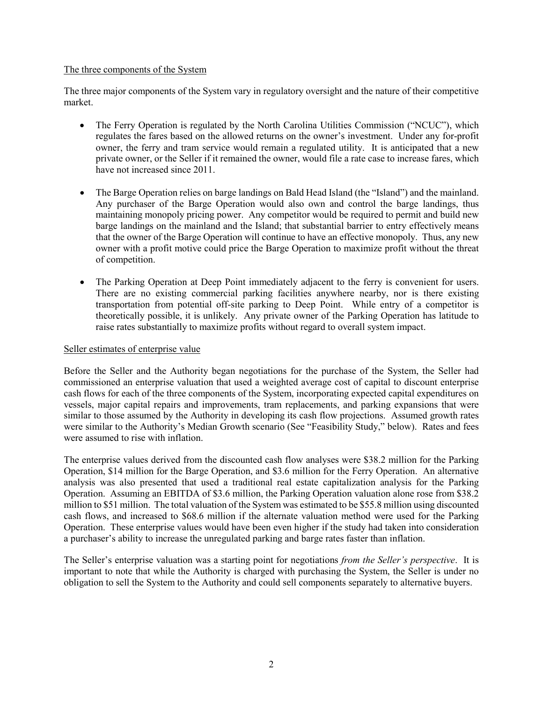## The three components of the System

The three major components of the System vary in regulatory oversight and the nature of their competitive market.

- The Ferry Operation is regulated by the North Carolina Utilities Commission ("NCUC"), which regulates the fares based on the allowed returns on the owner's investment. Under any for-profit owner, the ferry and tram service would remain a regulated utility. It is anticipated that a new private owner, or the Seller if it remained the owner, would file a rate case to increase fares, which have not increased since 2011.
- The Barge Operation relies on barge landings on Bald Head Island (the "Island") and the mainland. Any purchaser of the Barge Operation would also own and control the barge landings, thus maintaining monopoly pricing power. Any competitor would be required to permit and build new barge landings on the mainland and the Island; that substantial barrier to entry effectively means that the owner of the Barge Operation will continue to have an effective monopoly. Thus, any new owner with a profit motive could price the Barge Operation to maximize profit without the threat of competition.
- The Parking Operation at Deep Point immediately adjacent to the ferry is convenient for users. There are no existing commercial parking facilities anywhere nearby, nor is there existing transportation from potential off-site parking to Deep Point. While entry of a competitor is theoretically possible, it is unlikely. Any private owner of the Parking Operation has latitude to raise rates substantially to maximize profits without regard to overall system impact.

# Seller estimates of enterprise value

Before the Seller and the Authority began negotiations for the purchase of the System, the Seller had commissioned an enterprise valuation that used a weighted average cost of capital to discount enterprise cash flows for each of the three components of the System, incorporating expected capital expenditures on vessels, major capital repairs and improvements, tram replacements, and parking expansions that were similar to those assumed by the Authority in developing its cash flow projections. Assumed growth rates were similar to the Authority's Median Growth scenario (See "Feasibility Study," below). Rates and fees were assumed to rise with inflation.

The enterprise values derived from the discounted cash flow analyses were \$38.2 million for the Parking Operation, \$14 million for the Barge Operation, and \$3.6 million for the Ferry Operation. An alternative analysis was also presented that used a traditional real estate capitalization analysis for the Parking Operation. Assuming an EBITDA of \$3.6 million, the Parking Operation valuation alone rose from \$38.2 million to \$51 million. The total valuation of the System was estimated to be \$55.8 million using discounted cash flows, and increased to \$68.6 million if the alternate valuation method were used for the Parking Operation. These enterprise values would have been even higher if the study had taken into consideration a purchaser's ability to increase the unregulated parking and barge rates faster than inflation.

The Seller's enterprise valuation was a starting point for negotiations *from the Seller's perspective*. It is important to note that while the Authority is charged with purchasing the System, the Seller is under no obligation to sell the System to the Authority and could sell components separately to alternative buyers.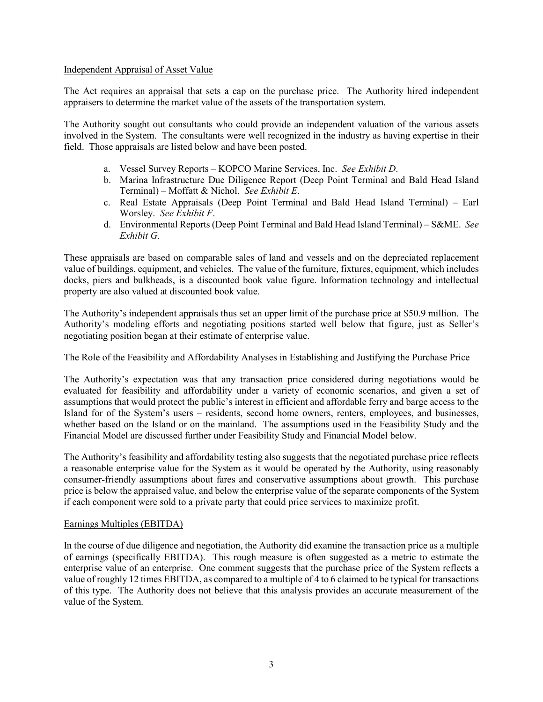### Independent Appraisal of Asset Value

The Act requires an appraisal that sets a cap on the purchase price. The Authority hired independent appraisers to determine the market value of the assets of the transportation system.

The Authority sought out consultants who could provide an independent valuation of the various assets involved in the System. The consultants were well recognized in the industry as having expertise in their field. Those appraisals are listed below and have been posted.

- a. Vessel Survey Reports KOPCO Marine Services, Inc. *See Exhibit D*.
- b. Marina Infrastructure Due Diligence Report (Deep Point Terminal and Bald Head Island Terminal) – Moffatt & Nichol. *See Exhibit E*.
- c. Real Estate Appraisals (Deep Point Terminal and Bald Head Island Terminal) Earl Worsley. *See Exhibit F*.
- d. Environmental Reports (Deep Point Terminal and Bald Head Island Terminal) S&ME. *See Exhibit G*.

These appraisals are based on comparable sales of land and vessels and on the depreciated replacement value of buildings, equipment, and vehicles. The value of the furniture, fixtures, equipment, which includes docks, piers and bulkheads, is a discounted book value figure. Information technology and intellectual property are also valued at discounted book value.

The Authority's independent appraisals thus set an upper limit of the purchase price at \$50.9 million. The Authority's modeling efforts and negotiating positions started well below that figure, just as Seller's negotiating position began at their estimate of enterprise value.

## The Role of the Feasibility and Affordability Analyses in Establishing and Justifying the Purchase Price

The Authority's expectation was that any transaction price considered during negotiations would be evaluated for feasibility and affordability under a variety of economic scenarios, and given a set of assumptions that would protect the public's interest in efficient and affordable ferry and barge access to the Island for of the System's users – residents, second home owners, renters, employees, and businesses, whether based on the Island or on the mainland. The assumptions used in the Feasibility Study and the Financial Model are discussed further under Feasibility Study and Financial Model below.

The Authority's feasibility and affordability testing also suggests that the negotiated purchase price reflects a reasonable enterprise value for the System as it would be operated by the Authority, using reasonably consumer-friendly assumptions about fares and conservative assumptions about growth. This purchase price is below the appraised value, and below the enterprise value of the separate components of the System if each component were sold to a private party that could price services to maximize profit.

## Earnings Multiples (EBITDA)

In the course of due diligence and negotiation, the Authority did examine the transaction price as a multiple of earnings (specifically EBITDA). This rough measure is often suggested as a metric to estimate the enterprise value of an enterprise. One comment suggests that the purchase price of the System reflects a value of roughly 12 times EBITDA, as compared to a multiple of 4 to 6 claimed to be typical for transactions of this type. The Authority does not believe that this analysis provides an accurate measurement of the value of the System.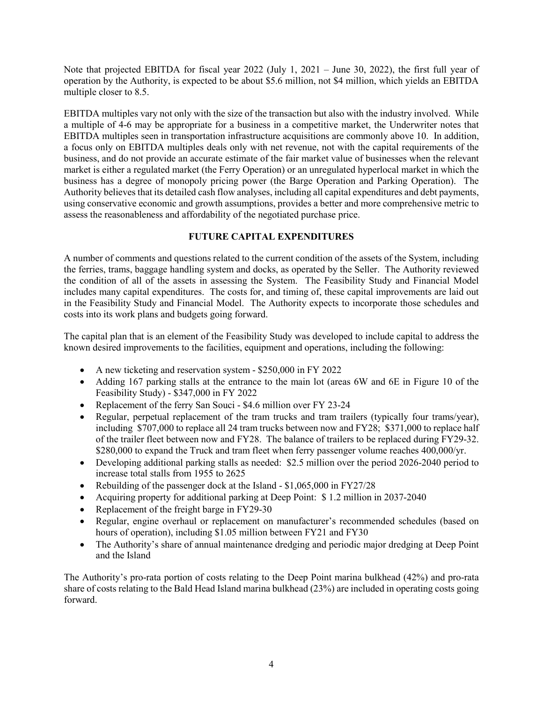Note that projected EBITDA for fiscal year 2022 (July 1, 2021 – June 30, 2022), the first full year of operation by the Authority, is expected to be about \$5.6 million, not \$4 million, which yields an EBITDA multiple closer to 8.5.

EBITDA multiples vary not only with the size of the transaction but also with the industry involved. While a multiple of 4-6 may be appropriate for a business in a competitive market, the Underwriter notes that EBITDA multiples seen in transportation infrastructure acquisitions are commonly above 10. In addition, a focus only on EBITDA multiples deals only with net revenue, not with the capital requirements of the business, and do not provide an accurate estimate of the fair market value of businesses when the relevant market is either a regulated market (the Ferry Operation) or an unregulated hyperlocal market in which the business has a degree of monopoly pricing power (the Barge Operation and Parking Operation). The Authority believes that its detailed cash flow analyses, including all capital expenditures and debt payments, using conservative economic and growth assumptions, provides a better and more comprehensive metric to assess the reasonableness and affordability of the negotiated purchase price.

# **FUTURE CAPITAL EXPENDITURES**

A number of comments and questions related to the current condition of the assets of the System, including the ferries, trams, baggage handling system and docks, as operated by the Seller. The Authority reviewed the condition of all of the assets in assessing the System. The Feasibility Study and Financial Model includes many capital expenditures. The costs for, and timing of, these capital improvements are laid out in the Feasibility Study and Financial Model. The Authority expects to incorporate those schedules and costs into its work plans and budgets going forward.

The capital plan that is an element of the Feasibility Study was developed to include capital to address the known desired improvements to the facilities, equipment and operations, including the following:

- A new ticketing and reservation system \$250,000 in FY 2022
- Adding 167 parking stalls at the entrance to the main lot (areas 6W and 6E in Figure 10 of the Feasibility Study) - \$347,000 in FY 2022
- Replacement of the ferry San Souci \$4.6 million over FY 23-24
- Regular, perpetual replacement of the tram trucks and tram trailers (typically four trams/year), including \$707,000 to replace all 24 tram trucks between now and FY28; \$371,000 to replace half of the trailer fleet between now and FY28. The balance of trailers to be replaced during FY29-32. \$280,000 to expand the Truck and tram fleet when ferry passenger volume reaches 400,000/yr.
- Developing additional parking stalls as needed: \$2.5 million over the period 2026-2040 period to increase total stalls from 1955 to 2625
- Rebuilding of the passenger dock at the Island \$1,065,000 in FY27/28
- Acquiring property for additional parking at Deep Point: \$ 1.2 million in 2037-2040
- Replacement of the freight barge in FY29-30
- Regular, engine overhaul or replacement on manufacturer's recommended schedules (based on hours of operation), including \$1.05 million between FY21 and FY30
- The Authority's share of annual maintenance dredging and periodic major dredging at Deep Point and the Island

The Authority's pro-rata portion of costs relating to the Deep Point marina bulkhead (42%) and pro-rata share of costs relating to the Bald Head Island marina bulkhead (23%) are included in operating costs going forward.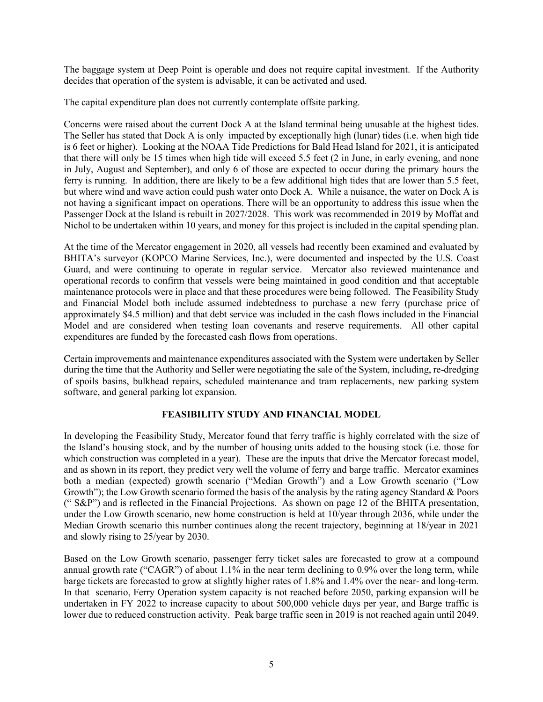The baggage system at Deep Point is operable and does not require capital investment. If the Authority decides that operation of the system is advisable, it can be activated and used.

The capital expenditure plan does not currently contemplate offsite parking.

Concerns were raised about the current Dock A at the Island terminal being unusable at the highest tides. The Seller has stated that Dock A is only impacted by exceptionally high (lunar) tides (i.e. when high tide is 6 feet or higher). Looking at the NOAA Tide Predictions for Bald Head Island for 2021, it is anticipated that there will only be 15 times when high tide will exceed 5.5 feet (2 in June, in early evening, and none in July, August and September), and only 6 of those are expected to occur during the primary hours the ferry is running. In addition, there are likely to be a few additional high tides that are lower than 5.5 feet, but where wind and wave action could push water onto Dock A. While a nuisance, the water on Dock A is not having a significant impact on operations. There will be an opportunity to address this issue when the Passenger Dock at the Island is rebuilt in 2027/2028. This work was recommended in 2019 by Moffat and Nichol to be undertaken within 10 years, and money for this project is included in the capital spending plan.

At the time of the Mercator engagement in 2020, all vessels had recently been examined and evaluated by BHITA's surveyor (KOPCO Marine Services, Inc.), were documented and inspected by the U.S. Coast Guard, and were continuing to operate in regular service. Mercator also reviewed maintenance and operational records to confirm that vessels were being maintained in good condition and that acceptable maintenance protocols were in place and that these procedures were being followed. The Feasibility Study and Financial Model both include assumed indebtedness to purchase a new ferry (purchase price of approximately \$4.5 million) and that debt service was included in the cash flows included in the Financial Model and are considered when testing loan covenants and reserve requirements. All other capital expenditures are funded by the forecasted cash flows from operations.

Certain improvements and maintenance expenditures associated with the System were undertaken by Seller during the time that the Authority and Seller were negotiating the sale of the System, including, re-dredging of spoils basins, bulkhead repairs, scheduled maintenance and tram replacements, new parking system software, and general parking lot expansion.

# **FEASIBILITY STUDY AND FINANCIAL MODEL**

In developing the Feasibility Study, Mercator found that ferry traffic is highly correlated with the size of the Island's housing stock, and by the number of housing units added to the housing stock (i.e. those for which construction was completed in a year). These are the inputs that drive the Mercator forecast model, and as shown in its report, they predict very well the volume of ferry and barge traffic. Mercator examines both a median (expected) growth scenario ("Median Growth") and a Low Growth scenario ("Low Growth"); the Low Growth scenario formed the basis of the analysis by the rating agency Standard & Poors (" S&P") and is reflected in the Financial Projections. As shown on page 12 of the BHITA presentation, under the Low Growth scenario, new home construction is held at 10/year through 2036, while under the Median Growth scenario this number continues along the recent trajectory, beginning at 18/year in 2021 and slowly rising to 25/year by 2030.

Based on the Low Growth scenario, passenger ferry ticket sales are forecasted to grow at a compound annual growth rate ("CAGR") of about 1.1% in the near term declining to 0.9% over the long term, while barge tickets are forecasted to grow at slightly higher rates of 1.8% and 1.4% over the near- and long-term. In that scenario, Ferry Operation system capacity is not reached before 2050, parking expansion will be undertaken in FY 2022 to increase capacity to about 500,000 vehicle days per year, and Barge traffic is lower due to reduced construction activity. Peak barge traffic seen in 2019 is not reached again until 2049.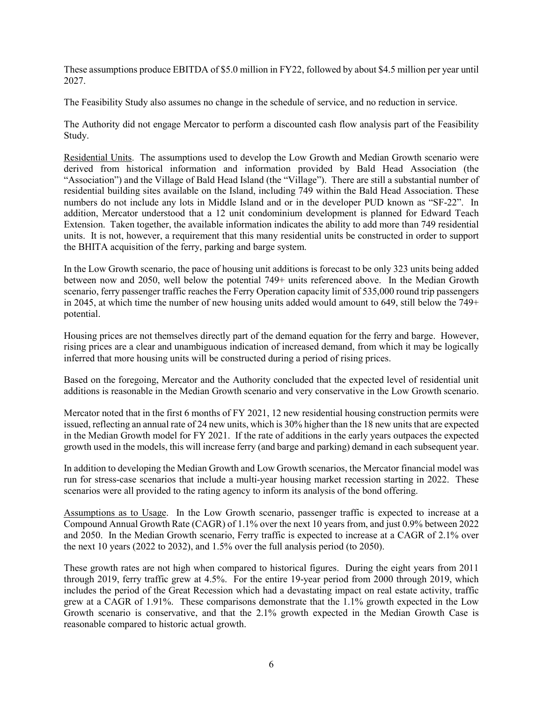These assumptions produce EBITDA of \$5.0 million in FY22, followed by about \$4.5 million per year until 2027.

The Feasibility Study also assumes no change in the schedule of service, and no reduction in service.

The Authority did not engage Mercator to perform a discounted cash flow analysis part of the Feasibility Study.

Residential Units. The assumptions used to develop the Low Growth and Median Growth scenario were derived from historical information and information provided by Bald Head Association (the "Association") and the Village of Bald Head Island (the "Village"). There are still a substantial number of residential building sites available on the Island, including 749 within the Bald Head Association. These numbers do not include any lots in Middle Island and or in the developer PUD known as "SF-22". In addition, Mercator understood that a 12 unit condominium development is planned for Edward Teach Extension. Taken together, the available information indicates the ability to add more than 749 residential units. It is not, however, a requirement that this many residential units be constructed in order to support the BHITA acquisition of the ferry, parking and barge system.

In the Low Growth scenario, the pace of housing unit additions is forecast to be only 323 units being added between now and 2050, well below the potential 749+ units referenced above. In the Median Growth scenario, ferry passenger traffic reaches the Ferry Operation capacity limit of 535,000 round trip passengers in 2045, at which time the number of new housing units added would amount to 649, still below the 749+ potential.

Housing prices are not themselves directly part of the demand equation for the ferry and barge. However, rising prices are a clear and unambiguous indication of increased demand, from which it may be logically inferred that more housing units will be constructed during a period of rising prices.

Based on the foregoing, Mercator and the Authority concluded that the expected level of residential unit additions is reasonable in the Median Growth scenario and very conservative in the Low Growth scenario.

Mercator noted that in the first 6 months of FY 2021, 12 new residential housing construction permits were issued, reflecting an annual rate of 24 new units, which is 30% higher than the 18 new units that are expected in the Median Growth model for FY 2021. If the rate of additions in the early years outpaces the expected growth used in the models, this will increase ferry (and barge and parking) demand in each subsequent year.

In addition to developing the Median Growth and Low Growth scenarios, the Mercator financial model was run for stress-case scenarios that include a multi-year housing market recession starting in 2022. These scenarios were all provided to the rating agency to inform its analysis of the bond offering.

Assumptions as to Usage. In the Low Growth scenario, passenger traffic is expected to increase at a Compound Annual Growth Rate (CAGR) of 1.1% over the next 10 years from, and just 0.9% between 2022 and 2050. In the Median Growth scenario, Ferry traffic is expected to increase at a CAGR of 2.1% over the next 10 years (2022 to 2032), and 1.5% over the full analysis period (to 2050).

These growth rates are not high when compared to historical figures. During the eight years from 2011 through 2019, ferry traffic grew at 4.5%. For the entire 19-year period from 2000 through 2019, which includes the period of the Great Recession which had a devastating impact on real estate activity, traffic grew at a CAGR of 1.91%. These comparisons demonstrate that the 1.1% growth expected in the Low Growth scenario is conservative, and that the 2.1% growth expected in the Median Growth Case is reasonable compared to historic actual growth.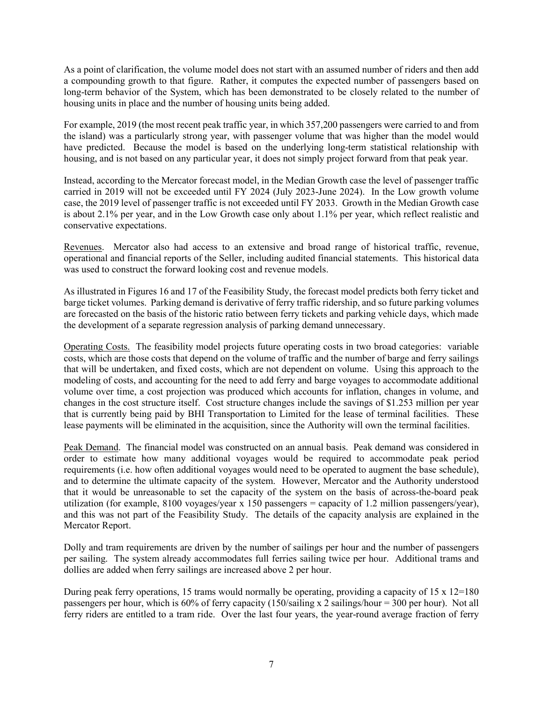As a point of clarification, the volume model does not start with an assumed number of riders and then add a compounding growth to that figure. Rather, it computes the expected number of passengers based on long-term behavior of the System, which has been demonstrated to be closely related to the number of housing units in place and the number of housing units being added.

For example, 2019 (the most recent peak traffic year, in which 357,200 passengers were carried to and from the island) was a particularly strong year, with passenger volume that was higher than the model would have predicted. Because the model is based on the underlying long-term statistical relationship with housing, and is not based on any particular year, it does not simply project forward from that peak year.

Instead, according to the Mercator forecast model, in the Median Growth case the level of passenger traffic carried in 2019 will not be exceeded until FY 2024 (July 2023-June 2024). In the Low growth volume case, the 2019 level of passenger traffic is not exceeded until FY 2033. Growth in the Median Growth case is about 2.1% per year, and in the Low Growth case only about 1.1% per year, which reflect realistic and conservative expectations.

Revenues. Mercator also had access to an extensive and broad range of historical traffic, revenue, operational and financial reports of the Seller, including audited financial statements. This historical data was used to construct the forward looking cost and revenue models.

As illustrated in Figures 16 and 17 of the Feasibility Study, the forecast model predicts both ferry ticket and barge ticket volumes. Parking demand is derivative of ferry traffic ridership, and so future parking volumes are forecasted on the basis of the historic ratio between ferry tickets and parking vehicle days, which made the development of a separate regression analysis of parking demand unnecessary.

Operating Costs. The feasibility model projects future operating costs in two broad categories: variable costs, which are those costs that depend on the volume of traffic and the number of barge and ferry sailings that will be undertaken, and fixed costs, which are not dependent on volume. Using this approach to the modeling of costs, and accounting for the need to add ferry and barge voyages to accommodate additional volume over time, a cost projection was produced which accounts for inflation, changes in volume, and changes in the cost structure itself. Cost structure changes include the savings of \$1.253 million per year that is currently being paid by BHI Transportation to Limited for the lease of terminal facilities. These lease payments will be eliminated in the acquisition, since the Authority will own the terminal facilities.

Peak Demand. The financial model was constructed on an annual basis. Peak demand was considered in order to estimate how many additional voyages would be required to accommodate peak period requirements (i.e. how often additional voyages would need to be operated to augment the base schedule), and to determine the ultimate capacity of the system. However, Mercator and the Authority understood that it would be unreasonable to set the capacity of the system on the basis of across-the-board peak utilization (for example, 8100 voyages/year x 150 passengers = capacity of 1.2 million passengers/year), and this was not part of the Feasibility Study. The details of the capacity analysis are explained in the Mercator Report.

Dolly and tram requirements are driven by the number of sailings per hour and the number of passengers per sailing. The system already accommodates full ferries sailing twice per hour. Additional trams and dollies are added when ferry sailings are increased above 2 per hour.

During peak ferry operations, 15 trams would normally be operating, providing a capacity of  $15 \times 12=180$ passengers per hour, which is 60% of ferry capacity (150/sailing x 2 sailings/hour = 300 per hour). Not all ferry riders are entitled to a tram ride. Over the last four years, the year-round average fraction of ferry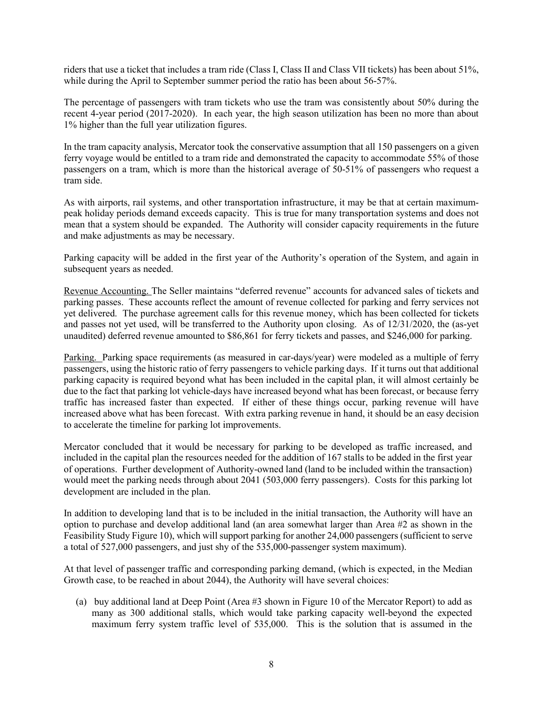riders that use a ticket that includes a tram ride (Class I, Class II and Class VII tickets) has been about 51%, while during the April to September summer period the ratio has been about 56-57%.

The percentage of passengers with tram tickets who use the tram was consistently about 50% during the recent 4-year period (2017-2020). In each year, the high season utilization has been no more than about 1% higher than the full year utilization figures.

In the tram capacity analysis, Mercator took the conservative assumption that all 150 passengers on a given ferry voyage would be entitled to a tram ride and demonstrated the capacity to accommodate 55% of those passengers on a tram, which is more than the historical average of 50-51% of passengers who request a tram side.

As with airports, rail systems, and other transportation infrastructure, it may be that at certain maximumpeak holiday periods demand exceeds capacity. This is true for many transportation systems and does not mean that a system should be expanded. The Authority will consider capacity requirements in the future and make adjustments as may be necessary.

Parking capacity will be added in the first year of the Authority's operation of the System, and again in subsequent years as needed.

Revenue Accounting. The Seller maintains "deferred revenue" accounts for advanced sales of tickets and parking passes. These accounts reflect the amount of revenue collected for parking and ferry services not yet delivered. The purchase agreement calls for this revenue money, which has been collected for tickets and passes not yet used, will be transferred to the Authority upon closing. As of 12/31/2020, the (as-yet unaudited) deferred revenue amounted to \$86,861 for ferry tickets and passes, and \$246,000 for parking.

Parking. Parking space requirements (as measured in car-days/year) were modeled as a multiple of ferry passengers, using the historic ratio of ferry passengers to vehicle parking days. If it turns out that additional parking capacity is required beyond what has been included in the capital plan, it will almost certainly be due to the fact that parking lot vehicle-days have increased beyond what has been forecast, or because ferry traffic has increased faster than expected. If either of these things occur, parking revenue will have increased above what has been forecast. With extra parking revenue in hand, it should be an easy decision to accelerate the timeline for parking lot improvements.

Mercator concluded that it would be necessary for parking to be developed as traffic increased, and included in the capital plan the resources needed for the addition of 167 stalls to be added in the first year of operations. Further development of Authority-owned land (land to be included within the transaction) would meet the parking needs through about 2041 (503,000 ferry passengers). Costs for this parking lot development are included in the plan.

In addition to developing land that is to be included in the initial transaction, the Authority will have an option to purchase and develop additional land (an area somewhat larger than Area #2 as shown in the Feasibility Study Figure 10), which will support parking for another 24,000 passengers (sufficient to serve a total of 527,000 passengers, and just shy of the 535,000-passenger system maximum).

At that level of passenger traffic and corresponding parking demand, (which is expected, in the Median Growth case, to be reached in about 2044), the Authority will have several choices:

(a) buy additional land at Deep Point (Area #3 shown in Figure 10 of the Mercator Report) to add as many as 300 additional stalls, which would take parking capacity well-beyond the expected maximum ferry system traffic level of 535,000. This is the solution that is assumed in the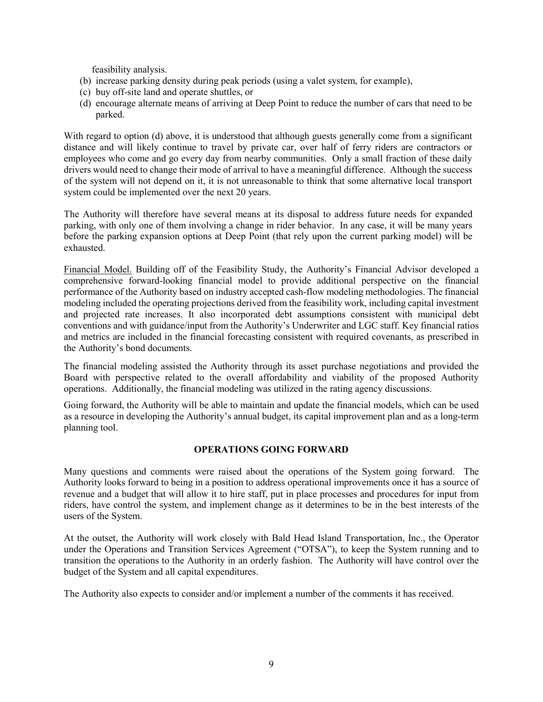feasibility analysis.

- (b) increase parking density during peak periods (using a valet system, for example),
- (c) buy off-site land and operate shuttles, or
- (d) encourage alternate means of arriving at Deep Point to reduce the number of cars that need to be parked.

With regard to option (d) above, it is understood that although guests generally come from a significant distance and will likely continue to travel by private car, over half of ferry riders are contractors or employees who come and go every day from nearby communities. Only a small fraction of these daily drivers would need to change their mode of arrival to have a meaningful difference. Although the success of the system will not depend on it, it is not unreasonable to think that some alternative local transport system could be implemented over the next 20 years.

The Authority will therefore have several means at its disposal to address future needs for expanded parking, with only one of them involving a change in rider behavior. In any case, it will be many years before the parking expansion options at Deep Point (that rely upon the current parking model) will be exhausted.

Financial Model. Building off of the Feasibility Study, the Authority's Financial Advisor developed a comprehensive forward-looking financial model to provide additional perspective on the financial performance of the Authority based on industry accepted cash-flow modeling methodologies. The financial modeling included the operating projections derived from the feasibility work, including capital investment and projected rate increases. It also incorporated debt assumptions consistent with municipal debt conventions and with guidance/input from the Authority's Underwriter and LGC staff. Key financial ratios and metrics are included in the financial forecasting consistent with required covenants, as prescribed in the Authority's bond documents.

The financial modeling assisted the Authority through its asset purchase negotiations and provided the Board with perspective related to the overall affordability and viability of the proposed Authority operations. Additionally, the financial modeling was utilized in the rating agency discussions.

Going forward, the Authority will be able to maintain and update the financial models, which can be used as a resource in developing the Authority's annual budget, its capital improvement plan and as a long-term planning tool.

## **OPERATIONS GOING FORWARD**

Many questions and comments were raised about the operations of the System going forward. The Authority looks forward to being in a position to address operational improvements once it has a source of revenue and a budget that will allow it to hire staff, put in place processes and procedures for input from riders, have control the system, and implement change as it determines to be in the best interests of the users of the System.

At the outset, the Authority will work closely with Bald Head Island Transportation, Inc., the Operator under the Operations and Transition Services Agreement ("OTSA"), to keep the System running and to transition the operations to the Authority in an orderly fashion. The Authority will have control over the budget of the System and all capital expenditures.

The Authority also expects to consider and/or implement a number of the comments it has received.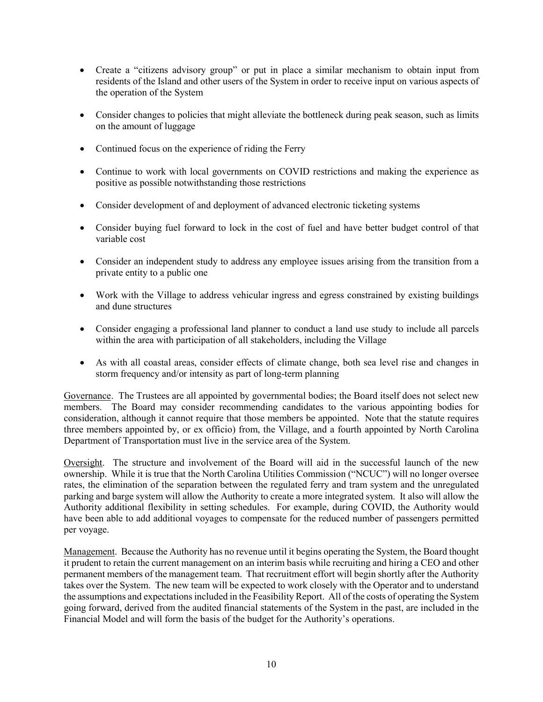- Create a "citizens advisory group" or put in place a similar mechanism to obtain input from residents of the Island and other users of the System in order to receive input on various aspects of the operation of the System
- Consider changes to policies that might alleviate the bottleneck during peak season, such as limits on the amount of luggage
- Continued focus on the experience of riding the Ferry
- Continue to work with local governments on COVID restrictions and making the experience as positive as possible notwithstanding those restrictions
- Consider development of and deployment of advanced electronic ticketing systems
- Consider buying fuel forward to lock in the cost of fuel and have better budget control of that variable cost
- Consider an independent study to address any employee issues arising from the transition from a private entity to a public one
- Work with the Village to address vehicular ingress and egress constrained by existing buildings and dune structures
- Consider engaging a professional land planner to conduct a land use study to include all parcels within the area with participation of all stakeholders, including the Village
- As with all coastal areas, consider effects of climate change, both sea level rise and changes in storm frequency and/or intensity as part of long-term planning

Governance. The Trustees are all appointed by governmental bodies; the Board itself does not select new members. The Board may consider recommending candidates to the various appointing bodies for consideration, although it cannot require that those members be appointed. Note that the statute requires three members appointed by, or ex officio) from, the Village, and a fourth appointed by North Carolina Department of Transportation must live in the service area of the System.

Oversight. The structure and involvement of the Board will aid in the successful launch of the new ownership. While it is true that the North Carolina Utilities Commission ("NCUC") will no longer oversee rates, the elimination of the separation between the regulated ferry and tram system and the unregulated parking and barge system will allow the Authority to create a more integrated system. It also will allow the Authority additional flexibility in setting schedules. For example, during COVID, the Authority would have been able to add additional voyages to compensate for the reduced number of passengers permitted per voyage.

Management. Because the Authority has no revenue until it begins operating the System, the Board thought it prudent to retain the current management on an interim basis while recruiting and hiring a CEO and other permanent members of the management team. That recruitment effort will begin shortly after the Authority takes over the System. The new team will be expected to work closely with the Operator and to understand the assumptions and expectations included in the Feasibility Report. All of the costs of operating the System going forward, derived from the audited financial statements of the System in the past, are included in the Financial Model and will form the basis of the budget for the Authority's operations.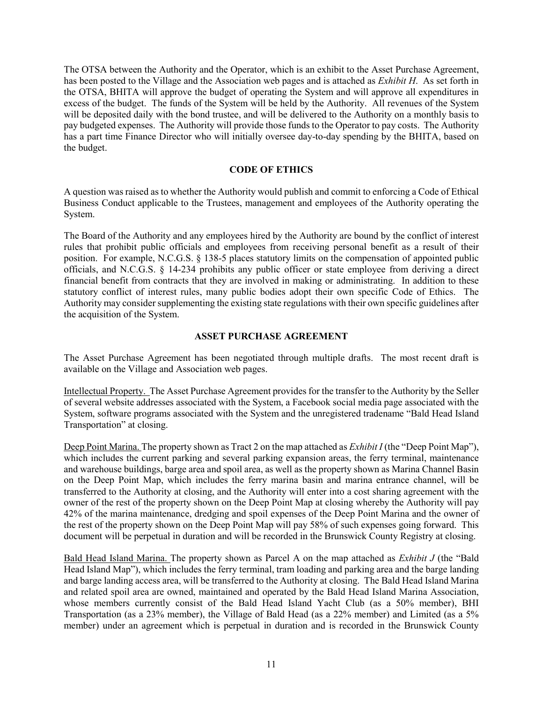The OTSA between the Authority and the Operator, which is an exhibit to the Asset Purchase Agreement, has been posted to the Village and the Association web pages and is attached as *Exhibit H*. As set forth in the OTSA, BHITA will approve the budget of operating the System and will approve all expenditures in excess of the budget. The funds of the System will be held by the Authority. All revenues of the System will be deposited daily with the bond trustee, and will be delivered to the Authority on a monthly basis to pay budgeted expenses. The Authority will provide those funds to the Operator to pay costs. The Authority has a part time Finance Director who will initially oversee day-to-day spending by the BHITA, based on the budget.

# **CODE OF ETHICS**

A question was raised as to whether the Authority would publish and commit to enforcing a Code of Ethical Business Conduct applicable to the Trustees, management and employees of the Authority operating the System.

The Board of the Authority and any employees hired by the Authority are bound by the conflict of interest rules that prohibit public officials and employees from receiving personal benefit as a result of their position. For example, N.C.G.S. § 138-5 places statutory limits on the compensation of appointed public officials, and N.C.G.S. § 14-234 prohibits any public officer or state employee from deriving a direct financial benefit from contracts that they are involved in making or administrating. In addition to these statutory conflict of interest rules, many public bodies adopt their own specific Code of Ethics. The Authority may consider supplementing the existing state regulations with their own specific guidelines after the acquisition of the System.

# **ASSET PURCHASE AGREEMENT**

The Asset Purchase Agreement has been negotiated through multiple drafts. The most recent draft is available on the Village and Association web pages.

Intellectual Property. The Asset Purchase Agreement provides for the transfer to the Authority by the Seller of several website addresses associated with the System, a Facebook social media page associated with the System, software programs associated with the System and the unregistered tradename "Bald Head Island Transportation" at closing.

Deep Point Marina. The property shown as Tract 2 on the map attached as *Exhibit I* (the "Deep Point Map"), which includes the current parking and several parking expansion areas, the ferry terminal, maintenance and warehouse buildings, barge area and spoil area, as well as the property shown as Marina Channel Basin on the Deep Point Map, which includes the ferry marina basin and marina entrance channel, will be transferred to the Authority at closing, and the Authority will enter into a cost sharing agreement with the owner of the rest of the property shown on the Deep Point Map at closing whereby the Authority will pay 42% of the marina maintenance, dredging and spoil expenses of the Deep Point Marina and the owner of the rest of the property shown on the Deep Point Map will pay 58% of such expenses going forward. This document will be perpetual in duration and will be recorded in the Brunswick County Registry at closing.

Bald Head Island Marina. The property shown as Parcel A on the map attached as *Exhibit J* (the "Bald Head Island Map"), which includes the ferry terminal, tram loading and parking area and the barge landing and barge landing access area, will be transferred to the Authority at closing. The Bald Head Island Marina and related spoil area are owned, maintained and operated by the Bald Head Island Marina Association, whose members currently consist of the Bald Head Island Yacht Club (as a 50% member), BHI Transportation (as a 23% member), the Village of Bald Head (as a 22% member) and Limited (as a 5% member) under an agreement which is perpetual in duration and is recorded in the Brunswick County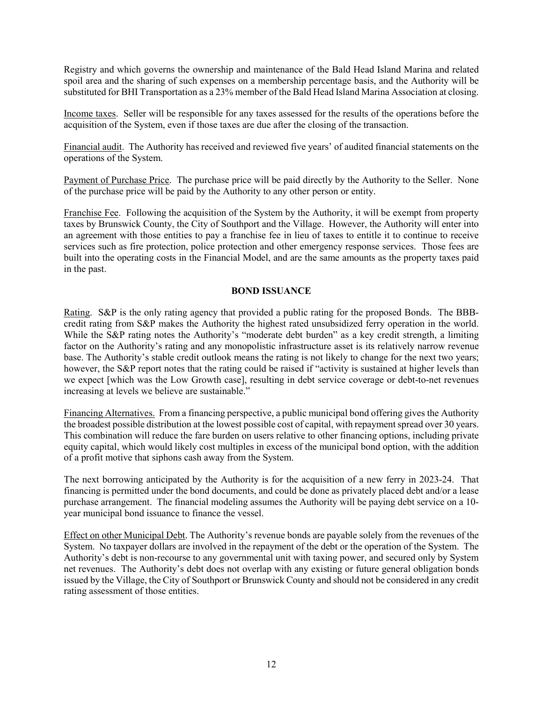Registry and which governs the ownership and maintenance of the Bald Head Island Marina and related spoil area and the sharing of such expenses on a membership percentage basis, and the Authority will be substituted for BHI Transportation as a 23% member of the Bald Head Island Marina Association at closing.

Income taxes. Seller will be responsible for any taxes assessed for the results of the operations before the acquisition of the System, even if those taxes are due after the closing of the transaction.

Financial audit. The Authority has received and reviewed five years' of audited financial statements on the operations of the System.

Payment of Purchase Price. The purchase price will be paid directly by the Authority to the Seller. None of the purchase price will be paid by the Authority to any other person or entity.

Franchise Fee. Following the acquisition of the System by the Authority, it will be exempt from property taxes by Brunswick County, the City of Southport and the Village. However, the Authority will enter into an agreement with those entities to pay a franchise fee in lieu of taxes to entitle it to continue to receive services such as fire protection, police protection and other emergency response services. Those fees are built into the operating costs in the Financial Model, and are the same amounts as the property taxes paid in the past.

## **BOND ISSUANCE**

Rating. S&P is the only rating agency that provided a public rating for the proposed Bonds. The BBBcredit rating from S&P makes the Authority the highest rated unsubsidized ferry operation in the world. While the S&P rating notes the Authority's "moderate debt burden" as a key credit strength, a limiting factor on the Authority's rating and any monopolistic infrastructure asset is its relatively narrow revenue base. The Authority's stable credit outlook means the rating is not likely to change for the next two years; however, the S&P report notes that the rating could be raised if "activity is sustained at higher levels than we expect [which was the Low Growth case], resulting in debt service coverage or debt-to-net revenues increasing at levels we believe are sustainable."

Financing Alternatives. From a financing perspective, a public municipal bond offering gives the Authority the broadest possible distribution at the lowest possible cost of capital, with repayment spread over 30 years. This combination will reduce the fare burden on users relative to other financing options, including private equity capital, which would likely cost multiples in excess of the municipal bond option, with the addition of a profit motive that siphons cash away from the System.

The next borrowing anticipated by the Authority is for the acquisition of a new ferry in 2023-24. That financing is permitted under the bond documents, and could be done as privately placed debt and/or a lease purchase arrangement. The financial modeling assumes the Authority will be paying debt service on a 10 year municipal bond issuance to finance the vessel.

Effect on other Municipal Debt. The Authority's revenue bonds are payable solely from the revenues of the System. No taxpayer dollars are involved in the repayment of the debt or the operation of the System. The Authority's debt is non-recourse to any governmental unit with taxing power, and secured only by System net revenues. The Authority's debt does not overlap with any existing or future general obligation bonds issued by the Village, the City of Southport or Brunswick County and should not be considered in any credit rating assessment of those entities.